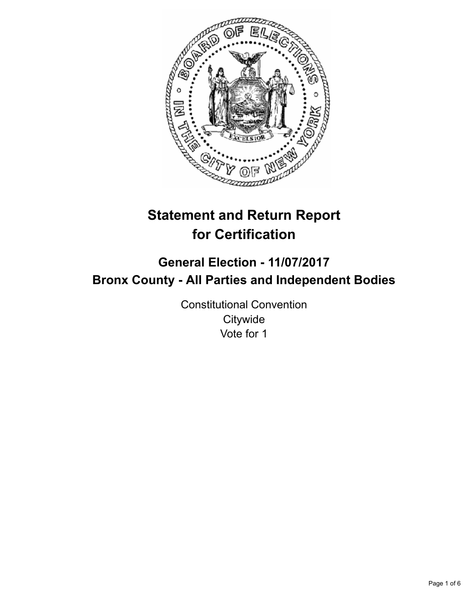

# **Statement and Return Report for Certification**

## **General Election - 11/07/2017 Bronx County - All Parties and Independent Bodies**

Constitutional Convention **Citywide** Vote for 1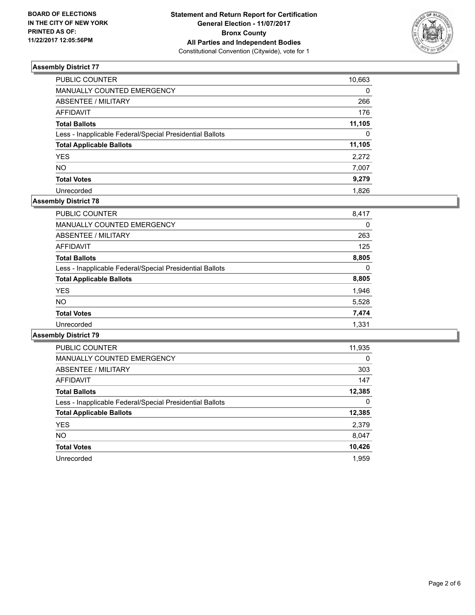

| PUBLIC COUNTER                                           | 10,663   |
|----------------------------------------------------------|----------|
| MANUALLY COUNTED EMERGENCY                               | $\Omega$ |
| ABSENTEE / MILITARY                                      | 266      |
| AFFIDAVIT                                                | 176      |
| <b>Total Ballots</b>                                     | 11,105   |
| Less - Inapplicable Federal/Special Presidential Ballots | $\Omega$ |
| <b>Total Applicable Ballots</b>                          | 11,105   |
| YES.                                                     | 2,272    |
| NΟ                                                       | 7,007    |
| <b>Total Votes</b>                                       | 9,279    |
| Unrecorded                                               | 1.826    |

## **Assembly District 78**

| PUBLIC COUNTER                                           | 8,417 |
|----------------------------------------------------------|-------|
| <b>MANUALLY COUNTED EMERGENCY</b>                        | 0     |
| ABSENTEE / MILITARY                                      | 263   |
| <b>AFFIDAVIT</b>                                         | 125   |
| <b>Total Ballots</b>                                     | 8,805 |
| Less - Inapplicable Federal/Special Presidential Ballots | 0     |
| <b>Total Applicable Ballots</b>                          | 8,805 |
| <b>YES</b>                                               | 1,946 |
| <b>NO</b>                                                | 5,528 |
| <b>Total Votes</b>                                       | 7,474 |
| Unrecorded                                               | 1.331 |

| <b>PUBLIC COUNTER</b>                                    | 11,935 |
|----------------------------------------------------------|--------|
| <b>MANUALLY COUNTED EMERGENCY</b>                        | 0      |
| ABSENTEE / MILITARY                                      | 303    |
| AFFIDAVIT                                                | 147    |
| <b>Total Ballots</b>                                     | 12,385 |
| Less - Inapplicable Federal/Special Presidential Ballots | 0      |
| <b>Total Applicable Ballots</b>                          | 12,385 |
| <b>YES</b>                                               | 2,379  |
| NO.                                                      | 8,047  |
| <b>Total Votes</b>                                       | 10,426 |
| Unrecorded                                               | 1.959  |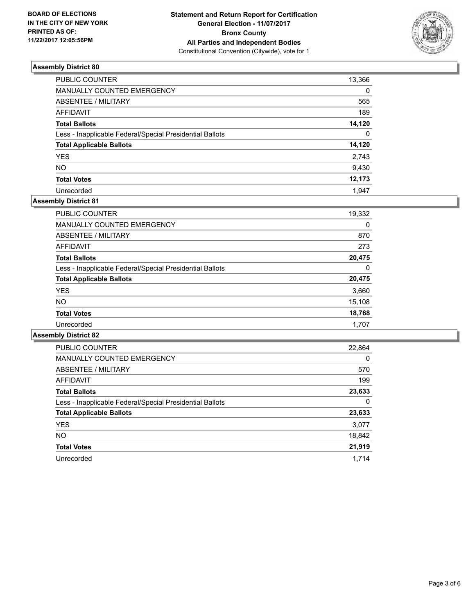

| <b>PUBLIC COUNTER</b>                                    | 13,366   |
|----------------------------------------------------------|----------|
| MANUALLY COUNTED EMERGENCY                               | $\Omega$ |
| <b>ABSENTEE / MILITARY</b>                               | 565      |
| <b>AFFIDAVIT</b>                                         | 189      |
| <b>Total Ballots</b>                                     | 14,120   |
| Less - Inapplicable Federal/Special Presidential Ballots | $\Omega$ |
| <b>Total Applicable Ballots</b>                          | 14,120   |
| <b>YES</b>                                               | 2,743    |
| <b>NO</b>                                                | 9,430    |
| <b>Total Votes</b>                                       | 12,173   |
| Unrecorded                                               | 1.947    |

## **Assembly District 81**

| PUBLIC COUNTER                                           | 19,332 |
|----------------------------------------------------------|--------|
| <b>MANUALLY COUNTED EMERGENCY</b>                        | 0      |
| ABSENTEE / MILITARY                                      | 870    |
| AFFIDAVIT                                                | 273    |
| <b>Total Ballots</b>                                     | 20,475 |
| Less - Inapplicable Federal/Special Presidential Ballots | 0      |
| <b>Total Applicable Ballots</b>                          | 20,475 |
| <b>YES</b>                                               | 3,660  |
| <b>NO</b>                                                | 15,108 |
| <b>Total Votes</b>                                       | 18,768 |
| Unrecorded                                               | 1.707  |

| <b>PUBLIC COUNTER</b>                                    | 22,864 |
|----------------------------------------------------------|--------|
| <b>MANUALLY COUNTED EMERGENCY</b>                        | 0      |
| ABSENTEE / MILITARY                                      | 570    |
| <b>AFFIDAVIT</b>                                         | 199    |
| <b>Total Ballots</b>                                     | 23,633 |
| Less - Inapplicable Federal/Special Presidential Ballots | 0      |
| <b>Total Applicable Ballots</b>                          | 23,633 |
| <b>YES</b>                                               | 3,077  |
| NO.                                                      | 18,842 |
| <b>Total Votes</b>                                       | 21,919 |
| Unrecorded                                               | 1.714  |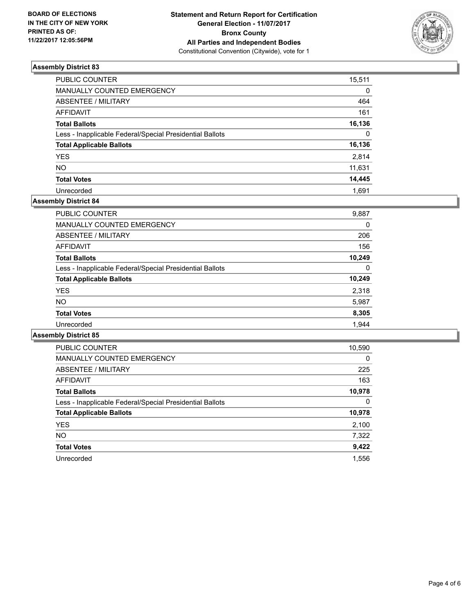

| <b>PUBLIC COUNTER</b>                                    | 15,511   |
|----------------------------------------------------------|----------|
| MANUALLY COUNTED EMERGENCY                               | 0        |
| <b>ABSENTEE / MILITARY</b>                               | 464      |
| <b>AFFIDAVIT</b>                                         | 161      |
| <b>Total Ballots</b>                                     | 16,136   |
| Less - Inapplicable Federal/Special Presidential Ballots | $\Omega$ |
| <b>Total Applicable Ballots</b>                          | 16,136   |
| <b>YES</b>                                               | 2,814    |
| <b>NO</b>                                                | 11,631   |
| <b>Total Votes</b>                                       | 14,445   |
| Unrecorded                                               | 1.691    |

## **Assembly District 84**

| <b>PUBLIC COUNTER</b>                                    | 9,887  |
|----------------------------------------------------------|--------|
| <b>MANUALLY COUNTED EMERGENCY</b>                        | 0      |
| ABSENTEE / MILITARY                                      | 206    |
| AFFIDAVIT                                                | 156    |
| <b>Total Ballots</b>                                     | 10.249 |
| Less - Inapplicable Federal/Special Presidential Ballots | 0      |
| <b>Total Applicable Ballots</b>                          | 10,249 |
| <b>YES</b>                                               | 2,318  |
| <b>NO</b>                                                | 5,987  |
| <b>Total Votes</b>                                       | 8,305  |
| Unrecorded                                               | 1.944  |

| <b>PUBLIC COUNTER</b>                                    | 10,590 |
|----------------------------------------------------------|--------|
| <b>MANUALLY COUNTED EMERGENCY</b>                        | 0      |
| ABSENTEE / MILITARY                                      | 225    |
| <b>AFFIDAVIT</b>                                         | 163    |
| <b>Total Ballots</b>                                     | 10,978 |
| Less - Inapplicable Federal/Special Presidential Ballots | 0      |
| <b>Total Applicable Ballots</b>                          | 10,978 |
| <b>YES</b>                                               | 2,100  |
| NO.                                                      | 7,322  |
| <b>Total Votes</b>                                       | 9,422  |
| Unrecorded                                               | 1.556  |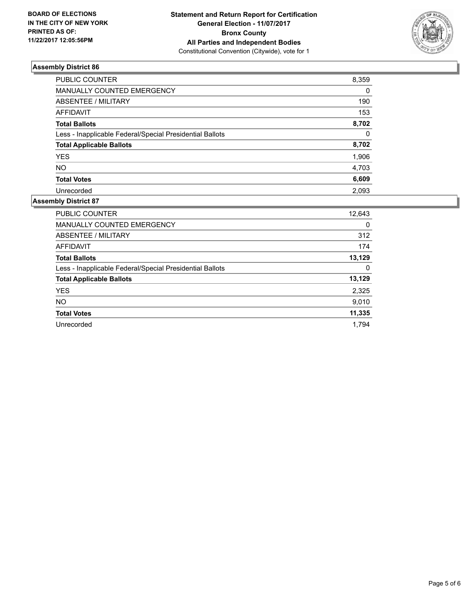

| PUBLIC COUNTER                                           | 8,359    |
|----------------------------------------------------------|----------|
| MANUALLY COUNTED EMERGENCY                               | $\Omega$ |
| <b>ABSENTEE / MILITARY</b>                               | 190      |
| <b>AFFIDAVIT</b>                                         | 153      |
| <b>Total Ballots</b>                                     | 8,702    |
| Less - Inapplicable Federal/Special Presidential Ballots | $\Omega$ |
| <b>Total Applicable Ballots</b>                          | 8,702    |
| <b>YES</b>                                               | 1,906    |
| <b>NO</b>                                                | 4,703    |
| <b>Total Votes</b>                                       | 6,609    |
| Unrecorded                                               | 2.093    |

| <b>PUBLIC COUNTER</b>                                    | 12,643 |
|----------------------------------------------------------|--------|
| <b>MANUALLY COUNTED EMERGENCY</b>                        | 0      |
| ABSENTEE / MILITARY                                      | 312    |
| <b>AFFIDAVIT</b>                                         | 174    |
| <b>Total Ballots</b>                                     | 13,129 |
| Less - Inapplicable Federal/Special Presidential Ballots | 0      |
| <b>Total Applicable Ballots</b>                          | 13,129 |
| <b>YES</b>                                               | 2,325  |
| <b>NO</b>                                                | 9,010  |
| <b>Total Votes</b>                                       | 11,335 |
| Unrecorded                                               | 1.794  |